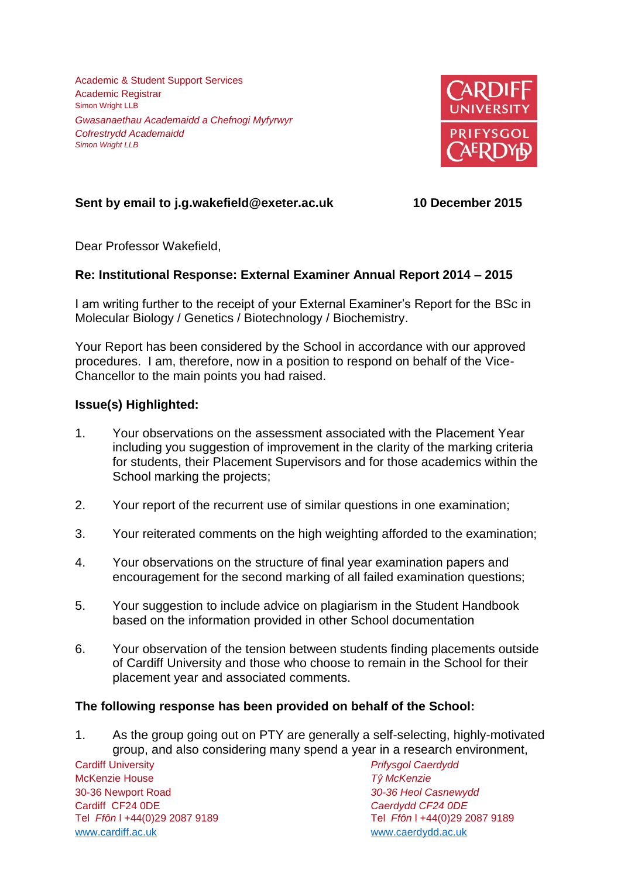Academic & Student Support Services Academic Registrar Simon Wright LLB *Gwasanaethau Academaidd a Chefnogi Myfyrwyr Cofrestrydd Academaidd Simon Wright LLB*



# **Sent by email to j.g.wakefield@exeter.ac.uk 10 December 2015**

Dear Professor Wakefield,

## **Re: Institutional Response: External Examiner Annual Report 2014 – 2015**

I am writing further to the receipt of your External Examiner's Report for the BSc in Molecular Biology / Genetics / Biotechnology / Biochemistry.

Your Report has been considered by the School in accordance with our approved procedures. I am, therefore, now in a position to respond on behalf of the Vice-Chancellor to the main points you had raised.

## **Issue(s) Highlighted:**

- 1. Your observations on the assessment associated with the Placement Year including you suggestion of improvement in the clarity of the marking criteria for students, their Placement Supervisors and for those academics within the School marking the projects;
- 2. Your report of the recurrent use of similar questions in one examination;
- 3. Your reiterated comments on the high weighting afforded to the examination;
- 4. Your observations on the structure of final year examination papers and encouragement for the second marking of all failed examination questions;
- 5. Your suggestion to include advice on plagiarism in the Student Handbook based on the information provided in other School documentation
- 6. Your observation of the tension between students finding placements outside of Cardiff University and those who choose to remain in the School for their placement year and associated comments.

## **The following response has been provided on behalf of the School:**

1. As the group going out on PTY are generally a self-selecting, highly-motivated group, and also considering many spend a year in a research environment,

Cardiff University *Prifysgol Caerdydd* McKenzie House *Tŷ McKenzie* 30-36 Newport Road *30-36 Heol Casnewydd* Tel *Ffôn* l +44(0)29 2087 9189 Tel *Ffôn* l +44(0)29 2087 9189 [www.cardiff.ac.uk](http://www.cardiff.ac.uk/) www.cardiff.ac.uk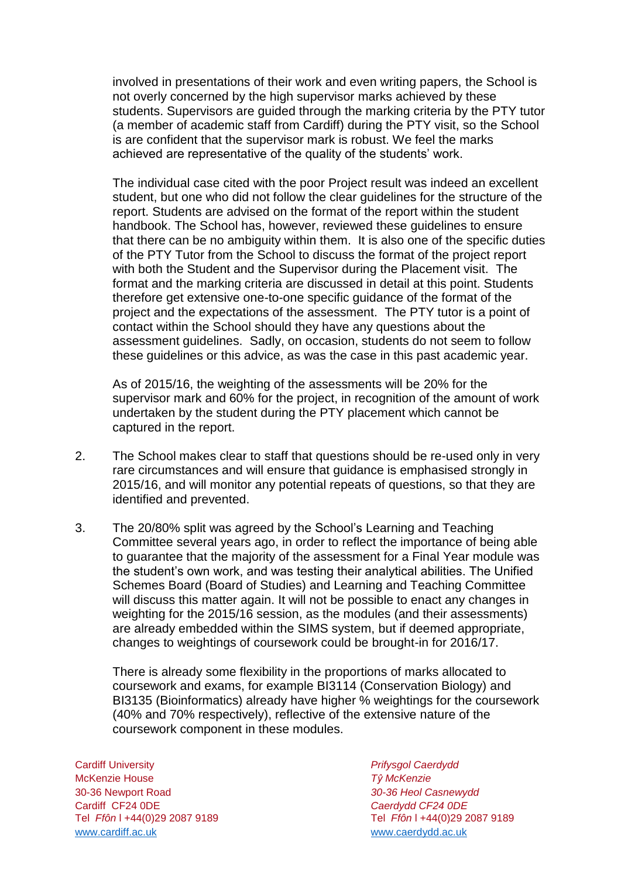involved in presentations of their work and even writing papers, the School is not overly concerned by the high supervisor marks achieved by these students. Supervisors are guided through the marking criteria by the PTY tutor (a member of academic staff from Cardiff) during the PTY visit, so the School is are confident that the supervisor mark is robust. We feel the marks achieved are representative of the quality of the students' work.

The individual case cited with the poor Project result was indeed an excellent student, but one who did not follow the clear guidelines for the structure of the report. Students are advised on the format of the report within the student handbook. The School has, however, reviewed these guidelines to ensure that there can be no ambiguity within them. It is also one of the specific duties of the PTY Tutor from the School to discuss the format of the project report with both the Student and the Supervisor during the Placement visit. The format and the marking criteria are discussed in detail at this point. Students therefore get extensive one-to-one specific guidance of the format of the project and the expectations of the assessment. The PTY tutor is a point of contact within the School should they have any questions about the assessment guidelines. Sadly, on occasion, students do not seem to follow these guidelines or this advice, as was the case in this past academic year.

As of 2015/16, the weighting of the assessments will be 20% for the supervisor mark and 60% for the project, in recognition of the amount of work undertaken by the student during the PTY placement which cannot be captured in the report.

- 2. The School makes clear to staff that questions should be re-used only in very rare circumstances and will ensure that guidance is emphasised strongly in 2015/16, and will monitor any potential repeats of questions, so that they are identified and prevented.
- 3. The 20/80% split was agreed by the School's Learning and Teaching Committee several years ago, in order to reflect the importance of being able to guarantee that the majority of the assessment for a Final Year module was the student's own work, and was testing their analytical abilities. The Unified Schemes Board (Board of Studies) and Learning and Teaching Committee will discuss this matter again. It will not be possible to enact any changes in weighting for the 2015/16 session, as the modules (and their assessments) are already embedded within the SIMS system, but if deemed appropriate, changes to weightings of coursework could be brought-in for 2016/17.

There is already some flexibility in the proportions of marks allocated to coursework and exams, for example BI3114 (Conservation Biology) and BI3135 (Bioinformatics) already have higher % weightings for the coursework (40% and 70% respectively), reflective of the extensive nature of the coursework component in these modules.

Cardiff University *Prifysgol Caerdydd* McKenzie House *Tŷ McKenzie* 30-36 Newport Road *30-36 Heol Casnewydd* Tel *Ffôn* l +44(0)29 2087 9189 Tel *Ffôn* l +44(0)29 2087 9189 [www.cardiff.ac.uk](http://www.cardiff.ac.uk/) www.cardiff.ac.uk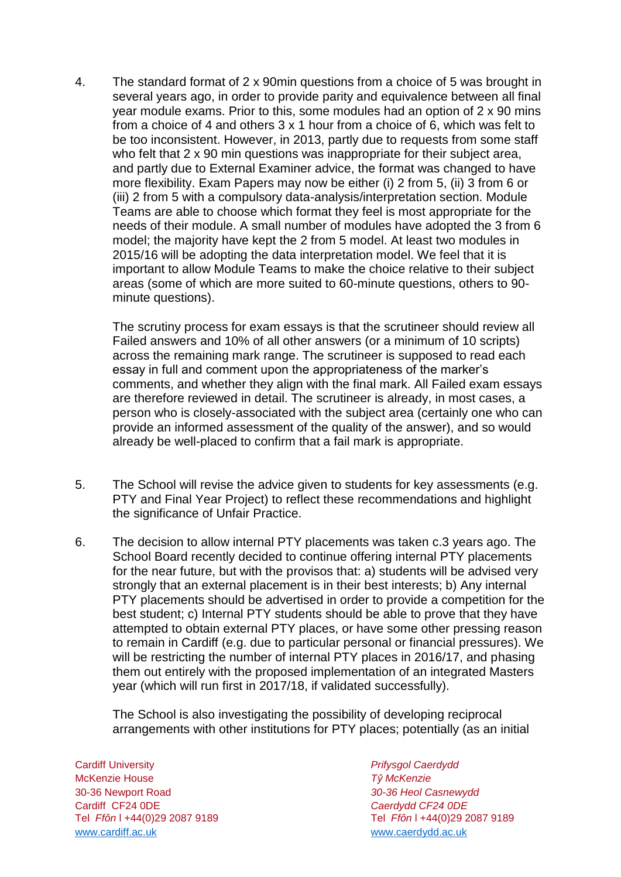4. The standard format of 2 x 90min questions from a choice of 5 was brought in several years ago, in order to provide parity and equivalence between all final year module exams. Prior to this, some modules had an option of 2 x 90 mins from a choice of 4 and others 3 x 1 hour from a choice of 6, which was felt to be too inconsistent. However, in 2013, partly due to requests from some staff who felt that 2 x 90 min questions was inappropriate for their subject area, and partly due to External Examiner advice, the format was changed to have more flexibility. Exam Papers may now be either (i) 2 from 5, (ii) 3 from 6 or (iii) 2 from 5 with a compulsory data-analysis/interpretation section. Module Teams are able to choose which format they feel is most appropriate for the needs of their module. A small number of modules have adopted the 3 from 6 model; the majority have kept the 2 from 5 model. At least two modules in 2015/16 will be adopting the data interpretation model. We feel that it is important to allow Module Teams to make the choice relative to their subject areas (some of which are more suited to 60-minute questions, others to 90 minute questions).

The scrutiny process for exam essays is that the scrutineer should review all Failed answers and 10% of all other answers (or a minimum of 10 scripts) across the remaining mark range. The scrutineer is supposed to read each essay in full and comment upon the appropriateness of the marker's comments, and whether they align with the final mark. All Failed exam essays are therefore reviewed in detail. The scrutineer is already, in most cases, a person who is closely-associated with the subject area (certainly one who can provide an informed assessment of the quality of the answer), and so would already be well-placed to confirm that a fail mark is appropriate.

- 5. The School will revise the advice given to students for key assessments (e.g. PTY and Final Year Project) to reflect these recommendations and highlight the significance of Unfair Practice.
- 6. The decision to allow internal PTY placements was taken c.3 years ago. The School Board recently decided to continue offering internal PTY placements for the near future, but with the provisos that: a) students will be advised very strongly that an external placement is in their best interests; b) Any internal PTY placements should be advertised in order to provide a competition for the best student; c) Internal PTY students should be able to prove that they have attempted to obtain external PTY places, or have some other pressing reason to remain in Cardiff (e.g. due to particular personal or financial pressures). We will be restricting the number of internal PTY places in 2016/17, and phasing them out entirely with the proposed implementation of an integrated Masters year (which will run first in 2017/18, if validated successfully).

The School is also investigating the possibility of developing reciprocal arrangements with other institutions for PTY places; potentially (as an initial

Cardiff University *Prifysgol Caerdydd* McKenzie House *Tŷ McKenzie* 30-36 Newport Road *30-36 Heol Casnewydd* Tel *Ffôn* l +44(0)29 2087 9189 Tel *Ffôn* l +44(0)29 2087 9189 [www.cardiff.ac.uk](http://www.cardiff.ac.uk/) www.cardiff.ac.uk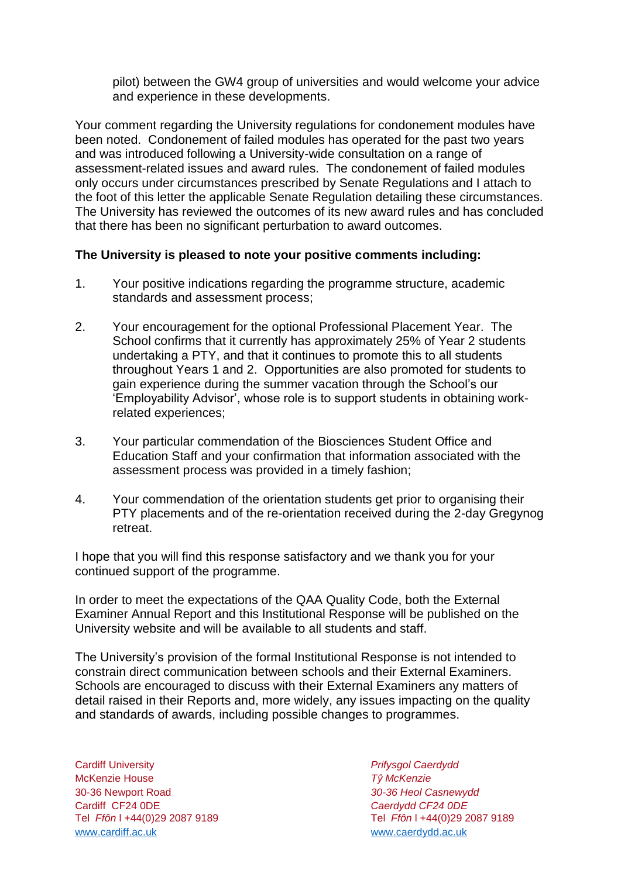pilot) between the GW4 group of universities and would welcome your advice and experience in these developments.

Your comment regarding the University regulations for condonement modules have been noted. Condonement of failed modules has operated for the past two years and was introduced following a University-wide consultation on a range of assessment-related issues and award rules. The condonement of failed modules only occurs under circumstances prescribed by Senate Regulations and I attach to the foot of this letter the applicable Senate Regulation detailing these circumstances. The University has reviewed the outcomes of its new award rules and has concluded that there has been no significant perturbation to award outcomes.

### **The University is pleased to note your positive comments including:**

- 1. Your positive indications regarding the programme structure, academic standards and assessment process;
- 2. Your encouragement for the optional Professional Placement Year. The School confirms that it currently has approximately 25% of Year 2 students undertaking a PTY, and that it continues to promote this to all students throughout Years 1 and 2. Opportunities are also promoted for students to gain experience during the summer vacation through the School's our 'Employability Advisor', whose role is to support students in obtaining workrelated experiences;
- 3. Your particular commendation of the Biosciences Student Office and Education Staff and your confirmation that information associated with the assessment process was provided in a timely fashion;
- 4. Your commendation of the orientation students get prior to organising their PTY placements and of the re-orientation received during the 2-day Gregynog retreat

I hope that you will find this response satisfactory and we thank you for your continued support of the programme.

In order to meet the expectations of the QAA Quality Code, both the External Examiner Annual Report and this Institutional Response will be published on the University website and will be available to all students and staff.

The University's provision of the formal Institutional Response is not intended to constrain direct communication between schools and their External Examiners. Schools are encouraged to discuss with their External Examiners any matters of detail raised in their Reports and, more widely, any issues impacting on the quality and standards of awards, including possible changes to programmes.

Cardiff University *Prifysgol Caerdydd* McKenzie House *Tŷ McKenzie* 30-36 Newport Road *30-36 Heol Casnewydd* Tel *Ffôn* l +44(0)29 2087 9189 Tel *Ffôn* l +44(0)29 2087 9189 [www.cardiff.ac.uk](http://www.cardiff.ac.uk/) [www.caerdydd.ac.uk](http://www.caerdydd.ac.uk/)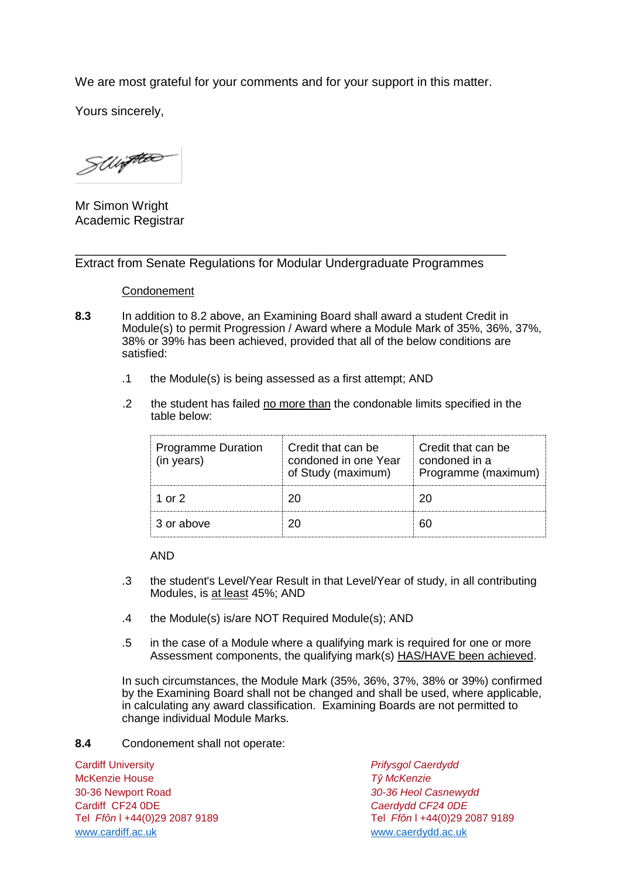We are most grateful for your comments and for your support in this matter.

Yours sincerely,

SULFREE

Mr Simon Wright Academic Registrar

\_\_\_\_\_\_\_\_\_\_\_\_\_\_\_\_\_\_\_\_\_\_\_\_\_\_\_\_\_\_\_\_\_\_\_\_\_\_\_\_\_\_\_\_\_\_\_\_\_\_\_\_\_\_\_\_\_\_\_\_\_\_ Extract from Senate Regulations for Modular Undergraduate Programmes

#### Condonement

- **8.3** In addition to 8.2 above, an Examining Board shall award a student Credit in Module(s) to permit Progression / Award where a Module Mark of 35%, 36%, 37%, 38% or 39% has been achieved, provided that all of the below conditions are satisfied:
	- .1 the Module(s) is being assessed as a first attempt; AND
	- .2 the student has failed no more than the condonable limits specified in the table below:

| <b>Programme Duration</b><br>(in years) | Credit that can be<br>condoned in one Year<br>of Study (maximum) | Credit that can be<br>condoned in a<br>Programme (maximum) |
|-----------------------------------------|------------------------------------------------------------------|------------------------------------------------------------|
| 1 or 2                                  |                                                                  |                                                            |
| 3 or above                              |                                                                  |                                                            |

AND

- .3 the student's Level/Year Result in that Level/Year of study, in all contributing Modules, is at least 45%; AND
- .4 the Module(s) is/are NOT Required Module(s); AND
- .5 in the case of a Module where a qualifying mark is required for one or more Assessment components, the qualifying mark(s) HAS/HAVE been achieved.

In such circumstances, the Module Mark (35%, 36%, 37%, 38% or 39%) confirmed by the Examining Board shall not be changed and shall be used, where applicable, in calculating any award classification. Examining Boards are not permitted to change individual Module Marks.

**8.4** Condonement shall not operate:

Cardiff University *Prifysgol Caerdydd* McKenzie House *Tŷ McKenzie* 30-36 Newport Road *30-36 Heol Casnewydd* Tel *Ffôn* l +44(0)29 2087 9189 Tel *Ffôn* l +44(0)29 2087 9189 [www.cardiff.ac.uk](http://www.cardiff.ac.uk/) www.cardiff.ac.uk